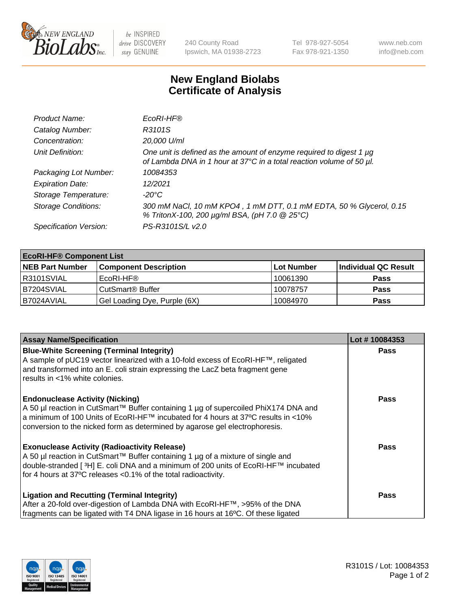

 $be$  INSPIRED drive DISCOVERY stay GENUINE

240 County Road Ipswich, MA 01938-2723 Tel 978-927-5054 Fax 978-921-1350 www.neb.com info@neb.com

## **New England Biolabs Certificate of Analysis**

| Product Name:              | EcoRI-HF®                                                                                                                                   |
|----------------------------|---------------------------------------------------------------------------------------------------------------------------------------------|
| Catalog Number:            | R3101S                                                                                                                                      |
| Concentration:             | 20,000 U/ml                                                                                                                                 |
| Unit Definition:           | One unit is defined as the amount of enzyme required to digest 1 µg<br>of Lambda DNA in 1 hour at 37°C in a total reaction volume of 50 µl. |
| Packaging Lot Number:      | 10084353                                                                                                                                    |
| <b>Expiration Date:</b>    | 12/2021                                                                                                                                     |
| Storage Temperature:       | -20°C                                                                                                                                       |
| <b>Storage Conditions:</b> | 300 mM NaCl, 10 mM KPO4, 1 mM DTT, 0.1 mM EDTA, 50 % Glycerol, 0.15<br>% TritonX-100, 200 µg/ml BSA, (pH 7.0 @ 25°C)                        |
| Specification Version:     | PS-R3101S/L v2.0                                                                                                                            |

| <b>EcoRI-HF® Component List</b> |                              |            |                      |  |  |
|---------------------------------|------------------------------|------------|----------------------|--|--|
| <b>NEB Part Number</b>          | <b>Component Description</b> | Lot Number | Individual QC Result |  |  |
| R3101SVIAL                      | EcoRI-HF®                    | 10061390   | <b>Pass</b>          |  |  |
| B7204SVIAL                      | CutSmart <sup>®</sup> Buffer | 10078757   | <b>Pass</b>          |  |  |
| IB7024AVIAL                     | Gel Loading Dye, Purple (6X) | 10084970   | <b>Pass</b>          |  |  |

| <b>Assay Name/Specification</b>                                                                                                                                                                                                                                                                               | Lot #10084353 |
|---------------------------------------------------------------------------------------------------------------------------------------------------------------------------------------------------------------------------------------------------------------------------------------------------------------|---------------|
| <b>Blue-White Screening (Terminal Integrity)</b><br>A sample of pUC19 vector linearized with a 10-fold excess of EcoRI-HF™, religated<br>and transformed into an E. coli strain expressing the LacZ beta fragment gene                                                                                        | <b>Pass</b>   |
| results in <1% white colonies.<br><b>Endonuclease Activity (Nicking)</b>                                                                                                                                                                                                                                      | <b>Pass</b>   |
| A 50 µl reaction in CutSmart™ Buffer containing 1 µg of supercoiled PhiX174 DNA and<br>  a minimum of 100 Units of EcoRI-HF™ incubated for 4 hours at 37°C results in <10%<br>conversion to the nicked form as determined by agarose gel electrophoresis.                                                     |               |
| <b>Exonuclease Activity (Radioactivity Release)</b><br>  A 50 µl reaction in CutSmart™ Buffer containing 1 µg of a mixture of single and<br>double-stranded [ <sup>3</sup> H] E. coli DNA and a minimum of 200 units of EcoRI-HF™ incubated<br>for 4 hours at 37°C releases <0.1% of the total radioactivity. | Pass          |
| <b>Ligation and Recutting (Terminal Integrity)</b><br>After a 20-fold over-digestion of Lambda DNA with EcoRI-HF™, >95% of the DNA<br>fragments can be ligated with T4 DNA ligase in 16 hours at 16°C. Of these ligated                                                                                       | <b>Pass</b>   |